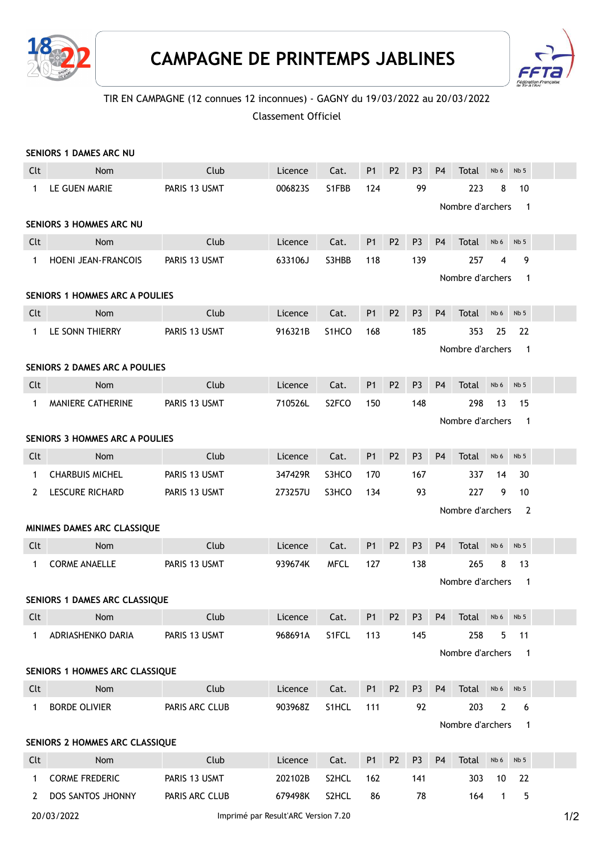

## CAMPAGNE DE PRINTEMPS JABLINES



## TIR EN CAMPAGNE (12 connues 12 inconnues) - GAGNY du 19/03/2022 au 20/03/2022

Classement Officiel

| SENIORS 1 DAMES ARC NU                |                                    |                |         |                    |                |                |                |                |                         |              |                    |  |
|---------------------------------------|------------------------------------|----------------|---------|--------------------|----------------|----------------|----------------|----------------|-------------------------|--------------|--------------------|--|
| Clt                                   | Nom                                | Club           | Licence | Cat.               | <b>P1</b>      | P <sub>2</sub> | P <sub>3</sub> | P <sub>4</sub> | Total                   | Nb 6         | Nb <sub>5</sub>    |  |
| 1                                     | LE GUEN MARIE                      | PARIS 13 USMT  | 0068235 | S1FBB              | 124            |                | 99             |                | 223<br>Nombre d'archers | 8            | 10<br>$\mathbf{1}$ |  |
| <b>SENIORS 3 HOMMES ARC NU</b>        |                                    |                |         |                    |                |                |                |                |                         |              |                    |  |
| Clt                                   | Nom                                | Club           | Licence | Cat.               | <b>P1</b>      | <b>P2</b>      | P <sub>3</sub> | P <sub>4</sub> | Total                   | Nb 6         | Nb <sub>5</sub>    |  |
| 1                                     | <b>HOENI JEAN-FRANCOIS</b>         | PARIS 13 USMT  | 633106J | S3HBB              | 118            |                | 139            |                | 257<br>Nombre d'archers | 4            | 9<br>$\mathbf{1}$  |  |
| <b>SENIORS 1 HOMMES ARC A POULIES</b> |                                    |                |         |                    |                |                |                |                |                         |              |                    |  |
| Clt                                   | Nom                                | Club           | Licence | Cat.               | <b>P1</b>      | <b>P2</b>      | P <sub>3</sub> | P4             | Total                   | Nb 6         | Nb <sub>5</sub>    |  |
| 1                                     | LE SONN THIERRY                    | PARIS 13 USMT  | 916321B | S <sub>1</sub> HCO | 168            |                | 185            |                | 353                     | 25           | 22                 |  |
|                                       |                                    |                |         |                    |                |                |                |                | Nombre d'archers        |              | $\overline{1}$     |  |
| SENIORS 2 DAMES ARC A POULIES         |                                    |                |         |                    |                |                |                |                |                         |              |                    |  |
| Clt                                   | <b>Nom</b>                         | Club           | Licence | Cat.               | <b>P1</b>      | <b>P2</b>      | P <sub>3</sub> | P <sub>4</sub> | Total                   | Nb 6         | Nb <sub>5</sub>    |  |
| 1                                     | <b>MANIERE CATHERINE</b>           | PARIS 13 USMT  | 710526L | S <sub>2</sub> FCO | 150            |                | 148            |                | 298                     | 13           | 15                 |  |
|                                       |                                    |                |         |                    |                |                |                |                | Nombre d'archers        |              | $\overline{1}$     |  |
| <b>SENIORS 3 HOMMES ARC A POULIES</b> |                                    |                |         |                    |                |                |                |                |                         |              |                    |  |
| Clt                                   | <b>Nom</b>                         | Club           | Licence | Cat.               | P <sub>1</sub> | P <sub>2</sub> | P <sub>3</sub> | P <sub>4</sub> | Total                   | Nb 6         | Nb <sub>5</sub>    |  |
| 1                                     | <b>CHARBUIS MICHEL</b>             | PARIS 13 USMT  | 347429R | S3HCO              | 170            |                | 167            |                | 337                     | 14           | 30                 |  |
| 2                                     | <b>LESCURE RICHARD</b>             | PARIS 13 USMT  | 273257U | S3HCO              | 134            |                | 93             |                | 227                     | 9            | 10                 |  |
|                                       | Nombre d'archers<br>$\overline{2}$ |                |         |                    |                |                |                |                |                         |              |                    |  |
| MINIMES DAMES ARC CLASSIQUE           |                                    |                |         |                    |                |                |                |                |                         |              |                    |  |
| Clt                                   | Nom                                | Club           | Licence | Cat.               | P <sub>1</sub> | <b>P2</b>      | P <sub>3</sub> | P4             | Total                   | Nb 6         | Nb <sub>5</sub>    |  |
| 1                                     | <b>CORME ANAELLE</b>               | PARIS 13 USMT  | 939674K | <b>MFCL</b>        | 127            |                | 138            |                | 265                     | 8            | 13                 |  |
|                                       | Nombre d'archers                   |                |         |                    |                |                |                |                |                         | $\mathbf{1}$ |                    |  |
| SENIORS 1 DAMES ARC CLASSIQUE         |                                    |                |         |                    |                |                |                |                |                         |              |                    |  |
| Clt                                   | Nom                                | Club           | Licence | Cat.               | P <sub>1</sub> | P <sub>2</sub> | P <sub>3</sub> | P <sub>4</sub> | Total                   | Nb 6         | Nb <sub>5</sub>    |  |
| $\mathbf 1$                           | ADRIASHENKO DARIA                  | PARIS 13 USMT  | 968691A | S1FCL              | 113            |                | 145            |                | 258                     | 5            | 11                 |  |
|                                       |                                    |                |         |                    |                |                |                |                | Nombre d'archers        |              | $\mathbf{1}$       |  |
| SENIORS 1 HOMMES ARC CLASSIQUE        |                                    |                |         |                    |                |                |                |                |                         |              |                    |  |
| Clt                                   | Nom                                | Club           | Licence | Cat.               | P1             | P <sub>2</sub> | P <sub>3</sub> | P <sub>4</sub> | Total                   | Nb 6         | Nb <sub>5</sub>    |  |
| $\mathbf 1$                           | <b>BORDE OLIVIER</b>               | PARIS ARC CLUB | 903968Z | S1HCL              | 111            |                | 92             |                | 203                     | 2            | 6                  |  |
|                                       | Nombre d'archers                   |                |         |                    |                |                |                |                |                         |              | $\mathbf{1}$       |  |
| SENIORS 2 HOMMES ARC CLASSIQUE        |                                    |                |         |                    |                |                |                |                |                         |              |                    |  |
| Clt                                   | Nom                                | Club           | Licence | Cat.               | P1             | P <sub>2</sub> | P <sub>3</sub> | P <sub>4</sub> | Total                   | Nb 6         | Nb <sub>5</sub>    |  |
| $\mathbf 1$                           | <b>CORME FREDERIC</b>              | PARIS 13 USMT  | 202102B | S2HCL              | 162            |                | 141            |                | 303                     | 10           | 22                 |  |
| $\mathbf{2}$                          | DOS SANTOS JHONNY                  | PARIS ARC CLUB | 679498K | S2HCL              | 86             |                | 78             |                | 164                     | $\mathbf{1}$ | 5                  |  |